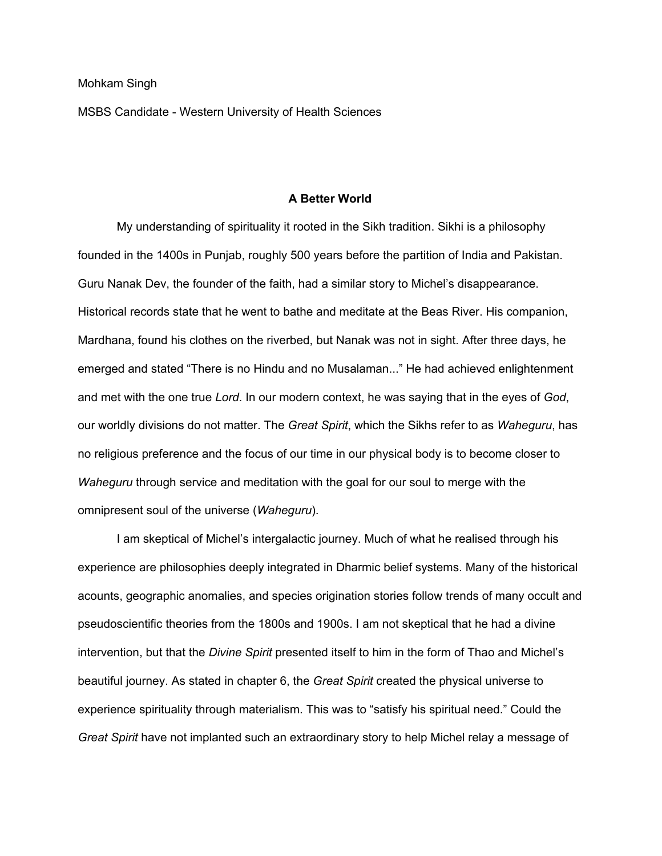MSBS Candidate - Western University of Health Sciences

## **A Better World**

My understanding of spirituality it rooted in the Sikh tradition. Sikhi is a philosophy founded in the 1400s in Punjab, roughly 500 years before the partition of India and Pakistan. Guru Nanak Dev, the founder of the faith, had a similar story to Michel's disappearance. Historical records state that he went to bathe and meditate at the Beas River. His companion, Mardhana, found his clothes on the riverbed, but Nanak was not in sight. After three days, he emerged and stated "There is no Hindu and no Musalaman..." He had achieved enlightenment and met with the one true *Lord*. In our modern context, he was saying that in the eyes of *God*, our worldly divisions do not matter. The *Great Spirit*, which the Sikhs refer to as *Waheguru*, has no religious preference and the focus of our time in our physical body is to become closer to *Waheguru* through service and meditation with the goal for our soul to merge with the omnipresent soul of the universe (*Waheguru*).

I am skeptical of Michel's intergalactic journey. Much of what he realised through his experience are philosophies deeply integrated in Dharmic belief systems. Many of the historical acounts, geographic anomalies, and species origination stories follow trends of many occult and pseudoscientific theories from the 1800s and 1900s. I am not skeptical that he had a divine intervention, but that the *Divine Spirit* presented itself to him in the form of Thao and Michel's beautiful journey. As stated in chapter 6, the *Great Spirit* created the physical universe to experience spirituality through materialism. This was to "satisfy his spiritual need." Could the *Great Spirit* have not implanted such an extraordinary story to help Michel relay a message of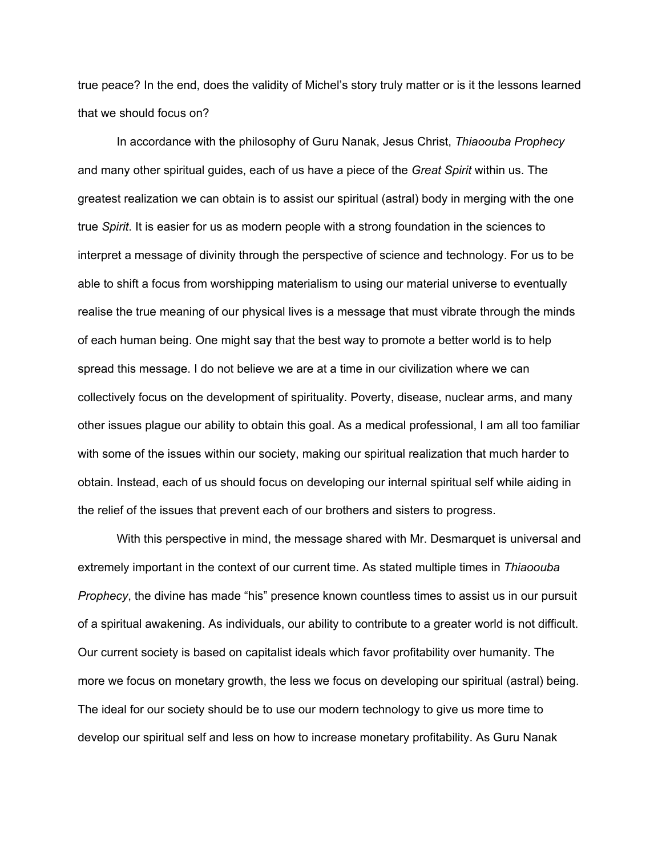true peace? In the end, does the validity of Michel's story truly matter or is it the lessons learned that we should focus on?

In accordance with the philosophy of Guru Nanak, Jesus Christ, *Thiaoouba Prophecy* and many other spiritual guides, each of us have a piece of the *Great Spirit* within us. The greatest realization we can obtain is to assist our spiritual (astral) body in merging with the one true *Spirit*. It is easier for us as modern people with a strong foundation in the sciences to interpret a message of divinity through the perspective of science and technology. For us to be able to shift a focus from worshipping materialism to using our material universe to eventually realise the true meaning of our physical lives is a message that must vibrate through the minds of each human being. One might say that the best way to promote a better world is to help spread this message. I do not believe we are at a time in our civilization where we can collectively focus on the development of spirituality. Poverty, disease, nuclear arms, and many other issues plague our ability to obtain this goal. As a medical professional, I am all too familiar with some of the issues within our society, making our spiritual realization that much harder to obtain. Instead, each of us should focus on developing our internal spiritual self while aiding in the relief of the issues that prevent each of our brothers and sisters to progress.

With this perspective in mind, the message shared with Mr. Desmarquet is universal and extremely important in the context of our current time. As stated multiple times in *Thiaoouba Prophecy*, the divine has made "his" presence known countless times to assist us in our pursuit of a spiritual awakening. As individuals, our ability to contribute to a greater world is not difficult. Our current society is based on capitalist ideals which favor profitability over humanity. The more we focus on monetary growth, the less we focus on developing our spiritual (astral) being. The ideal for our society should be to use our modern technology to give us more time to develop our spiritual self and less on how to increase monetary profitability. As Guru Nanak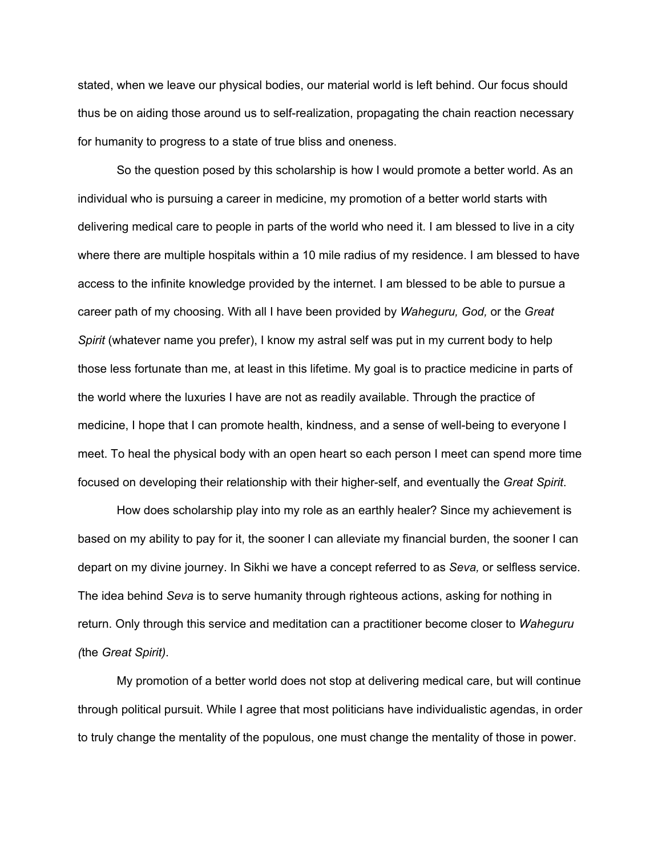stated, when we leave our physical bodies, our material world is left behind. Our focus should thus be on aiding those around us to self-realization, propagating the chain reaction necessary for humanity to progress to a state of true bliss and oneness.

So the question posed by this scholarship is how I would promote a better world. As an individual who is pursuing a career in medicine, my promotion of a better world starts with delivering medical care to people in parts of the world who need it. I am blessed to live in a city where there are multiple hospitals within a 10 mile radius of my residence. I am blessed to have access to the infinite knowledge provided by the internet. I am blessed to be able to pursue a career path of my choosing. With all I have been provided by *Waheguru, God,* or the *Great Spirit* (whatever name you prefer), I know my astral self was put in my current body to help those less fortunate than me, at least in this lifetime. My goal is to practice medicine in parts of the world where the luxuries I have are not as readily available. Through the practice of medicine, I hope that I can promote health, kindness, and a sense of well-being to everyone I meet. To heal the physical body with an open heart so each person I meet can spend more time focused on developing their relationship with their higher-self, and eventually the *Great Spirit*.

How does scholarship play into my role as an earthly healer? Since my achievement is based on my ability to pay for it, the sooner I can alleviate my financial burden, the sooner I can depart on my divine journey. In Sikhi we have a concept referred to as *Seva,* or selfless service. The idea behind *Seva* is to serve humanity through righteous actions, asking for nothing in return. Only through this service and meditation can a practitioner become closer to *Waheguru (*the *Great Spirit)*.

My promotion of a better world does not stop at delivering medical care, but will continue through political pursuit. While I agree that most politicians have individualistic agendas, in order to truly change the mentality of the populous, one must change the mentality of those in power.